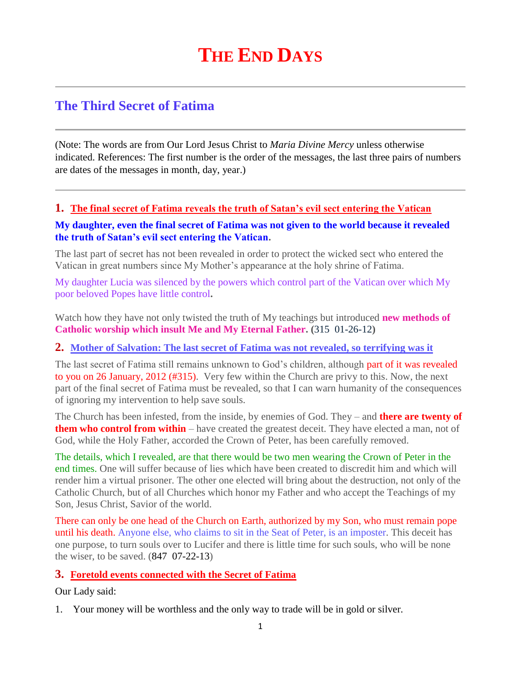# **THE END DAYS**

# **The Third Secret of Fatima**

(Note: The words are from Our Lord Jesus Christ to *Maria Divine Mercy* unless otherwise indicated. References: The first number is the order of the messages, the last three pairs of numbers are dates of the messages in month, day, year.)

# **1. [The final secret of Fatima reveals the truth of Satan's evil sect entering the Vatican](http://www.thewarningsecondcoming.com/the-final-secret-of-fatima-reveals-the-truth-of-satans-evil-sect-entering-the-vatican/)**

#### **My daughter, even the final secret of Fatima was not given to the world because it revealed the truth of Satan's evil sect entering the Vatican.**

The last part of secret has not been revealed in order to protect the wicked sect who entered the Vatican in great numbers since My Mother's appearance at the holy shrine of Fatima.

My daughter Lucia was silenced by the powers which control part of the Vatican over which My poor beloved Popes have little control**.**

Watch how they have not only twisted the truth of My teachings but introduced **new methods of Catholic worship which insult Me and My Eternal Father. (**315 01-26-12**)**

#### **2. [Mother of Salvation: The last secret of Fatima was not revealed, so terrifying was it](http://www.thewarningsecondcoming.com/mother-of-salvation-the-last-secret-of-fatima-was-not-revealed-so-terrifying-was-it/)**

The last secret of Fatima still remains unknown to God's children, although part of it was revealed to you on 26 January, 2012 (#315). Very few within the Church are privy to this. Now, the next part of the final secret of Fatima must be revealed, so that I can warn humanity of the consequences of ignoring my intervention to help save souls.

The Church has been infested, from the inside, by enemies of God. They – and **there are twenty of them who control from within** – have created the greatest deceit. They have elected a man, not of God, while the Holy Father, accorded the Crown of Peter, has been carefully removed.

The details, which I revealed, are that there would be two men wearing the Crown of Peter in the end times. One will suffer because of lies which have been created to discredit him and which will render him a virtual prisoner. The other one elected will bring about the destruction, not only of the Catholic Church, but of all Churches which honor my Father and who accept the Teachings of my Son, Jesus Christ, Savior of the world.

There can only be one head of the Church on Earth, authorized by my Son, who must remain pope until his death. Anyone else, who claims to sit in the Seat of Peter, is an imposter. This deceit has one purpose, to turn souls over to Lucifer and there is little time for such souls, who will be none the wiser, to be saved. (847 07-22-13)

#### **3. Foretold events connected with the Secret of Fatima**

Our Lady said:

1. Your money will be worthless and the only way to trade will be in gold or silver.